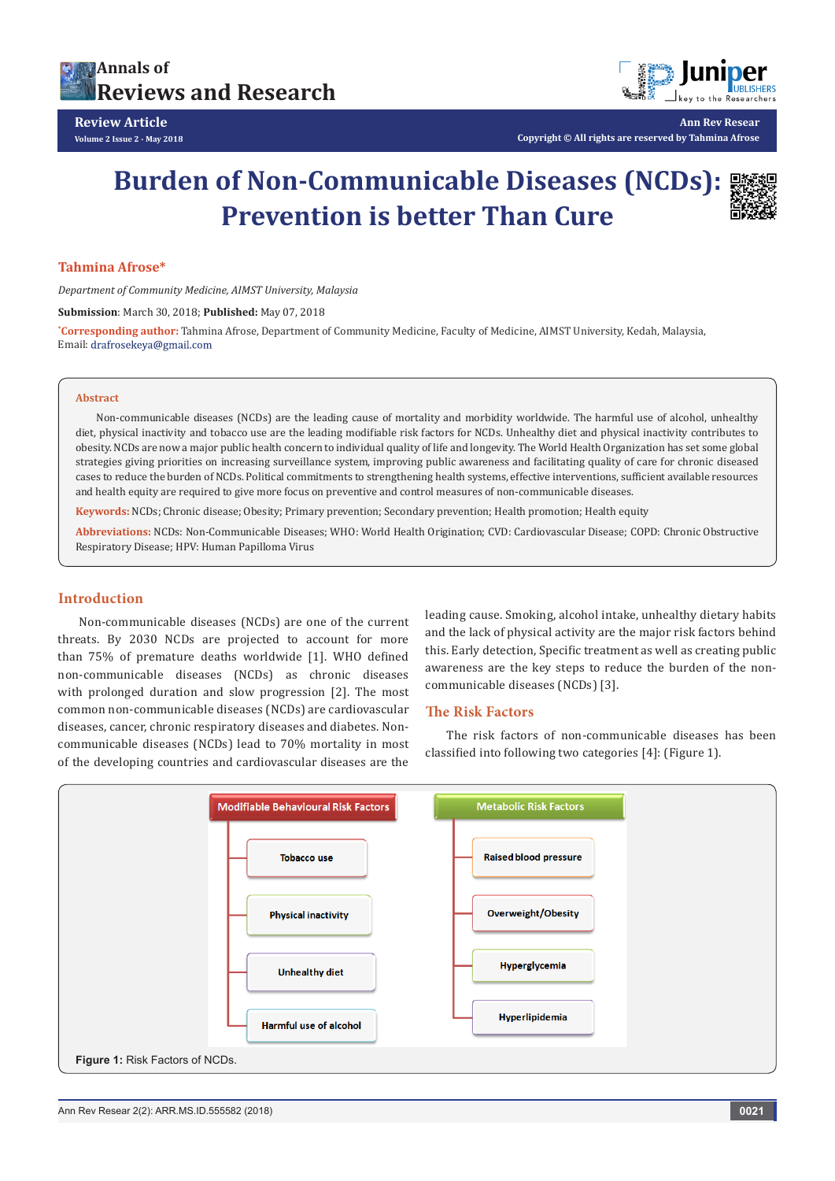



**Ann Rev Resear**

**Copyright © All rights are reserved by Tahmina Afrose**

# **Burden of Non-Communicable Diseases (NCDs): Prevention is better Than Cure**



#### **Tahmina Afrose\***

*Department of Community Medicine, AIMST University, Malaysia*

**Submission**: March 30, 2018; **Published:** May 07, 2018

**\* Corresponding author:** Tahmina Afrose, Department of Community Medicine, Faculty of Medicine, AIMST University, Kedah, Malaysia, Email: drafrosekeya@gmail.com

#### **Abstract**

Non-communicable diseases (NCDs) are the leading cause of mortality and morbidity worldwide. The harmful use of alcohol, unhealthy diet, physical inactivity and tobacco use are the leading modifiable risk factors for NCDs. Unhealthy diet and physical inactivity contributes to obesity. NCDs are now a major public health concern to individual quality of life and longevity. The World Health Organization has set some global strategies giving priorities on increasing surveillance system, improving public awareness and facilitating quality of care for chronic diseased cases to reduce the burden of NCDs. Political commitments to strengthening health systems, effective interventions, sufficient available resources and health equity are required to give more focus on preventive and control measures of non-communicable diseases.

**Keywords:** NCDs; Chronic disease; Obesity; Primary prevention; Secondary prevention; Health promotion; Health equity

**Abbreviations:** NCDs: Non-Communicable Diseases; WHO: World Health Origination; CVD: Cardiovascular Disease; COPD: Chronic Obstructive Respiratory Disease; HPV: Human Papilloma Virus

## **Introduction**

Non-communicable diseases (NCDs) are one of the current threats. By 2030 NCDs are projected to account for more than 75% of premature deaths worldwide [1]. WHO defined non-communicable diseases (NCDs) as chronic diseases with prolonged duration and slow progression [2]. The most common non-communicable diseases (NCDs) are cardiovascular diseases, cancer, chronic respiratory diseases and diabetes. Noncommunicable diseases (NCDs) lead to 70% mortality in most of the developing countries and cardiovascular diseases are the

leading cause. Smoking, alcohol intake, unhealthy dietary habits and the lack of physical activity are the major risk factors behind this. Early detection, Specific treatment as well as creating public awareness are the key steps to reduce the burden of the noncommunicable diseases (NCDs) [3].

## **The Risk Factors**

The risk factors of non-communicable diseases has been classified into following two categories [4]: (Figure 1).

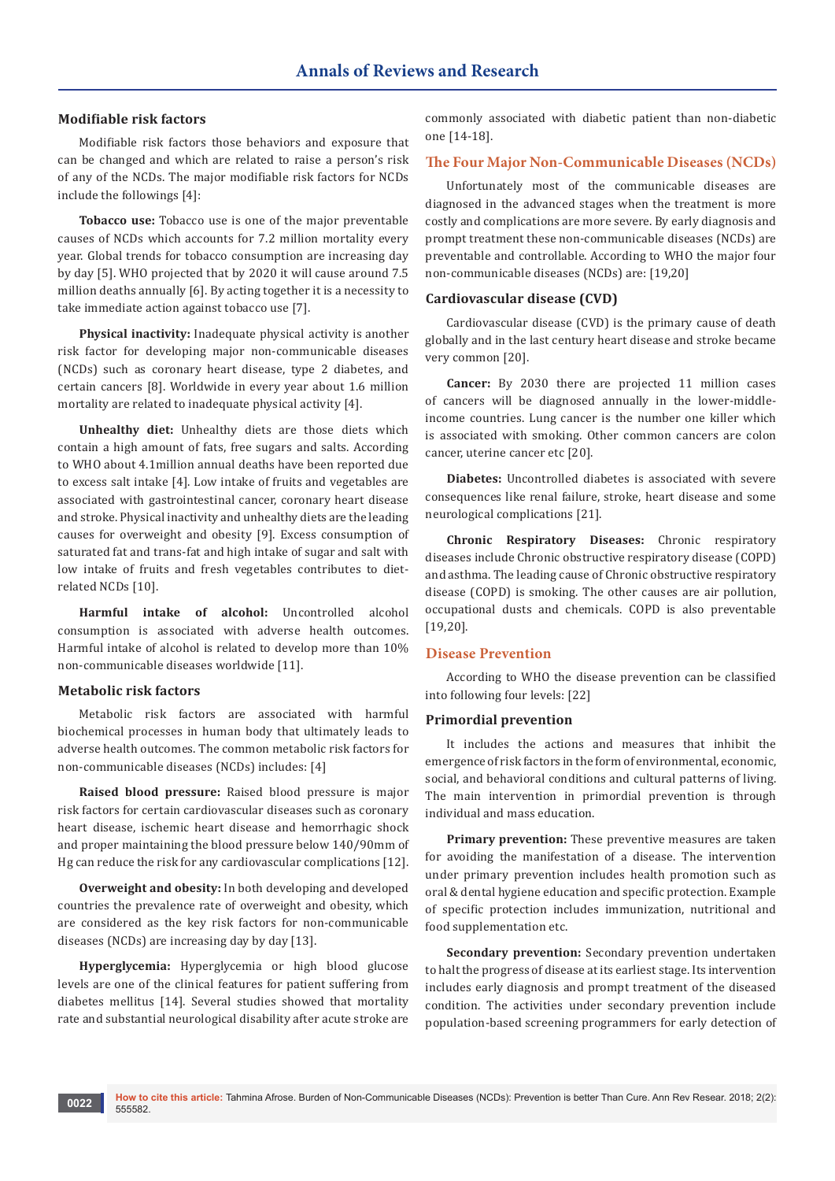## **Modifiable risk factors**

Modifiable risk factors those behaviors and exposure that can be changed and which are related to raise a person's risk of any of the NCDs. The major modifiable risk factors for NCDs include the followings [4]:

**Tobacco use:** Tobacco use is one of the major preventable causes of NCDs which accounts for 7.2 million mortality every year. Global trends for tobacco consumption are increasing day by day [5]. WHO projected that by 2020 it will cause around 7.5 million deaths annually [6]. By acting together it is a necessity to take immediate action against tobacco use [7].

**Physical inactivity:** Inadequate physical activity is another risk factor for developing major non-communicable diseases (NCDs) such as coronary heart disease, type 2 diabetes, and certain cancers [8]. Worldwide in every year about 1.6 million mortality are related to inadequate physical activity [4].

**Unhealthy diet:** Unhealthy diets are those diets which contain a high amount of fats, free sugars and salts. According to WHO about 4.1million annual deaths have been reported due to excess salt intake [4]. Low intake of fruits and vegetables are associated with gastrointestinal cancer, coronary heart disease and stroke. Physical inactivity and unhealthy diets are the leading causes for overweight and obesity [9]. Excess consumption of saturated fat and trans-fat and high intake of sugar and salt with low intake of fruits and fresh vegetables contributes to dietrelated NCDs [10].

**Harmful intake of alcohol:** Uncontrolled alcohol consumption is associated with adverse health outcomes. Harmful intake of alcohol is related to develop more than 10% non-communicable diseases worldwide [11].

#### **Metabolic risk factors**

Metabolic risk factors are associated with harmful biochemical processes in human body that ultimately leads to adverse health outcomes. The common metabolic risk factors for non-communicable diseases (NCDs) includes: [4]

**Raised blood pressure:** Raised blood pressure is major risk factors for certain cardiovascular diseases such as coronary heart disease, ischemic heart disease and hemorrhagic shock and proper maintaining the blood pressure below 140/90mm of Hg can reduce the risk for any cardiovascular complications [12].

**Overweight and obesity:** In both developing and developed countries the prevalence rate of overweight and obesity, which are considered as the key risk factors for non-communicable diseases (NCDs) are increasing day by day [13].

**Hyperglycemia:** Hyperglycemia or high blood glucose levels are one of the clinical features for patient suffering from diabetes mellitus [14]. Several studies showed that mortality rate and substantial neurological disability after acute stroke are commonly associated with diabetic patient than non-diabetic one [14-18].

## **The Four Major Non-Communicable Diseases (NCDs)**

Unfortunately most of the communicable diseases are diagnosed in the advanced stages when the treatment is more costly and complications are more severe. By early diagnosis and prompt treatment these non-communicable diseases (NCDs) are preventable and controllable. According to WHO the major four non-communicable diseases (NCDs) are: [19,20]

## **Cardiovascular disease (CVD)**

Cardiovascular disease (CVD) is the primary cause of death globally and in the last century heart disease and stroke became very common [20].

**Cancer:** By 2030 there are projected 11 million cases of cancers will be diagnosed annually in the lower-middleincome countries. Lung cancer is the number one killer which is associated with smoking. Other common cancers are colon cancer, uterine cancer etc [20].

**Diabetes:** Uncontrolled diabetes is associated with severe consequences like renal failure, stroke, heart disease and some neurological complications [21].

**Chronic Respiratory Diseases:** Chronic respiratory diseases include Chronic obstructive respiratory disease (COPD) and asthma. The leading cause of Chronic obstructive respiratory disease (COPD) is smoking. The other causes are air pollution, occupational dusts and chemicals. COPD is also preventable [19,20].

## **Disease Prevention**

According to WHO the disease prevention can be classified into following four levels: [22]

#### **Primordial prevention**

It includes the actions and measures that inhibit the emergence of risk factors in the form of environmental, economic, social, and behavioral conditions and cultural patterns of living. The main intervention in primordial prevention is through individual and mass education.

**Primary prevention:** These preventive measures are taken for avoiding the manifestation of a disease. The intervention under primary prevention includes health promotion such as oral & dental hygiene education and specific protection. Example of specific protection includes immunization, nutritional and food supplementation etc.

**Secondary prevention:** Secondary prevention undertaken to halt the progress of disease at its earliest stage. Its intervention includes early diagnosis and prompt treatment of the diseased condition. The activities under secondary prevention include population-based screening programmers for early detection of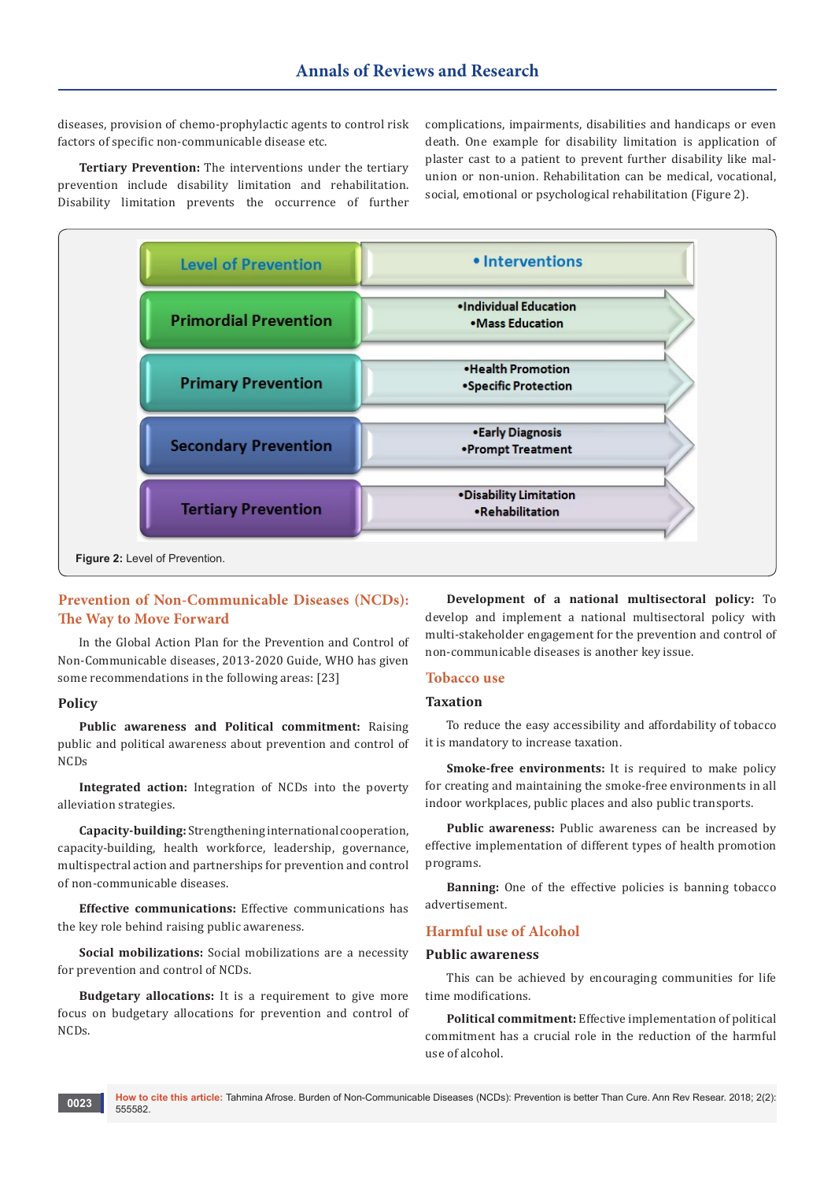diseases, provision of chemo-prophylactic agents to control risk factors of specific non-communicable disease etc.

**Tertiary Prevention:** The interventions under the tertiary prevention include disability limitation and rehabilitation. Disability limitation prevents the occurrence of further complications, impairments, disabilities and handicaps or even death. One example for disability limitation is application of plaster cast to a patient to prevent further disability like malunion or non-union. Rehabilitation can be medical, vocational, social, emotional or psychological rehabilitation (Figure 2).



## **Prevention of Non-Communicable Diseases (NCDs): The Way to Move Forward**

In the Global Action Plan for the Prevention and Control of Non-Communicable diseases, 2013-2020 Guide, WHO has given some recommendations in the following areas: [23]

## **Policy**

**Public awareness and Political commitment:** Raising public and political awareness about prevention and control of NCDs

**Integrated action:** Integration of NCDs into the poverty alleviation strategies.

**Capacity-building:** Strengthening international cooperation, capacity-building, health workforce, leadership, governance, multispectral action and partnerships for prevention and control of non-communicable diseases.

**Effective communications:** Effective communications has the key role behind raising public awareness.

**Social mobilizations:** Social mobilizations are a necessity for prevention and control of NCDs.

**Budgetary allocations:** It is a requirement to give more focus on budgetary allocations for prevention and control of NCDs.

**Development of a national multisectoral policy:** To develop and implement a national multisectoral policy with multi-stakeholder engagement for the prevention and control of non-communicable diseases is another key issue.

## **Tobacco use**

## **Taxation**

To reduce the easy accessibility and affordability of tobacco it is mandatory to increase taxation.

**Smoke-free environments:** It is required to make policy for creating and maintaining the smoke-free environments in all indoor workplaces, public places and also public transports.

**Public awareness:** Public awareness can be increased by effective implementation of different types of health promotion programs.

**Banning:** One of the effective policies is banning tobacco advertisement.

## **Harmful use of Alcohol**

#### **Public awareness**

This can be achieved by encouraging communities for life time modifications.

**Political commitment:** Effective implementation of political commitment has a crucial role in the reduction of the harmful use of alcohol.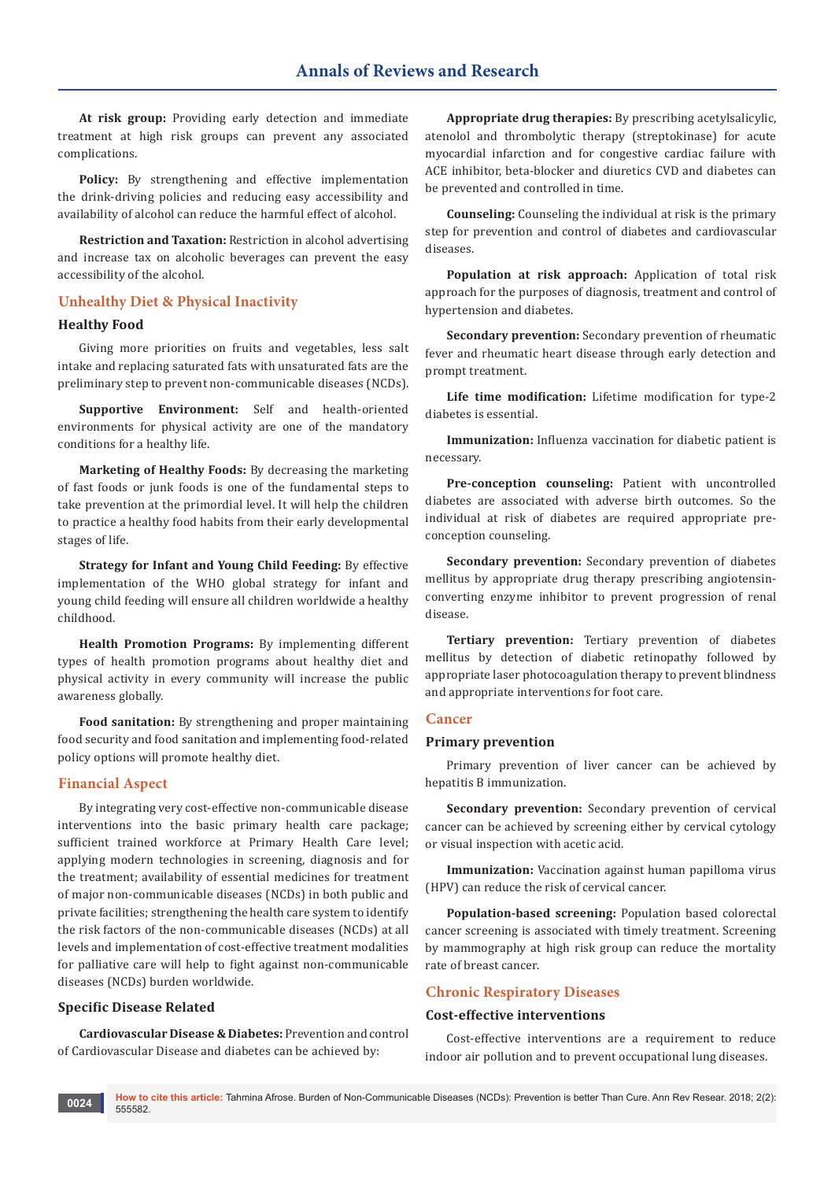**At risk group:** Providing early detection and immediate treatment at high risk groups can prevent any associated complications.

**Policy:** By strengthening and effective implementation the drink-driving policies and reducing easy accessibility and availability of alcohol can reduce the harmful effect of alcohol.

**Restriction and Taxation:** Restriction in alcohol advertising and increase tax on alcoholic beverages can prevent the easy accessibility of the alcohol.

## **Unhealthy Diet & Physical Inactivity**

## **Healthy Food**

Giving more priorities on fruits and vegetables, less salt intake and replacing saturated fats with unsaturated fats are the preliminary step to prevent non-communicable diseases (NCDs).

**Supportive Environment:** Self and health-oriented environments for physical activity are one of the mandatory conditions for a healthy life.

**Marketing of Healthy Foods:** By decreasing the marketing of fast foods or junk foods is one of the fundamental steps to take prevention at the primordial level. It will help the children to practice a healthy food habits from their early developmental stages of life.

**Strategy for Infant and Young Child Feeding:** By effective implementation of the WHO global strategy for infant and young child feeding will ensure all children worldwide a healthy childhood.

**Health Promotion Programs:** By implementing different types of health promotion programs about healthy diet and physical activity in every community will increase the public awareness globally.

**Food sanitation:** By strengthening and proper maintaining food security and food sanitation and implementing food-related policy options will promote healthy diet.

## **Financial Aspect**

By integrating very cost-effective non-communicable disease interventions into the basic primary health care package; sufficient trained workforce at Primary Health Care level; applying modern technologies in screening, diagnosis and for the treatment; availability of essential medicines for treatment of major non-communicable diseases (NCDs) in both public and private facilities; strengthening the health care system to identify the risk factors of the non-communicable diseases (NCDs) at all levels and implementation of cost-effective treatment modalities for palliative care will help to fight against non-communicable diseases (NCDs) burden worldwide.

#### **Specific Disease Related**

**Cardiovascular Disease & Diabetes:** Prevention and control of Cardiovascular Disease and diabetes can be achieved by:

**Appropriate drug therapies:** By prescribing acetylsalicylic, atenolol and thrombolytic therapy (streptokinase) for acute myocardial infarction and for congestive cardiac failure with ACE inhibitor, beta-blocker and diuretics CVD and diabetes can be prevented and controlled in time.

**Counseling:** Counseling the individual at risk is the primary step for prevention and control of diabetes and cardiovascular diseases.

**Population at risk approach:** Application of total risk approach for the purposes of diagnosis, treatment and control of hypertension and diabetes.

**Secondary prevention:** Secondary prevention of rheumatic fever and rheumatic heart disease through early detection and prompt treatment.

**Life time modification:** Lifetime modification for type-2 diabetes is essential.

**Immunization:** Influenza vaccination for diabetic patient is necessary.

**Pre-conception counseling:** Patient with uncontrolled diabetes are associated with adverse birth outcomes. So the individual at risk of diabetes are required appropriate preconception counseling.

**Secondary prevention:** Secondary prevention of diabetes mellitus by appropriate drug therapy prescribing angiotensinconverting enzyme inhibitor to prevent progression of renal disease.

**Tertiary prevention:** Tertiary prevention of diabetes mellitus by detection of diabetic retinopathy followed by appropriate laser photocoagulation therapy to prevent blindness and appropriate interventions for foot care.

#### **Cancer**

#### **Primary prevention**

Primary prevention of liver cancer can be achieved by hepatitis B immunization.

**Secondary prevention:** Secondary prevention of cervical cancer can be achieved by screening either by cervical cytology or visual inspection with acetic acid.

**Immunization:** Vaccination against human papilloma virus (HPV) can reduce the risk of cervical cancer.

**Population-based screening:** Population based colorectal cancer screening is associated with timely treatment. Screening by mammography at high risk group can reduce the mortality rate of breast cancer.

## **Chronic Respiratory Diseases**

#### **Cost-effective interventions**

Cost-effective interventions are a requirement to reduce indoor air pollution and to prevent occupational lung diseases.